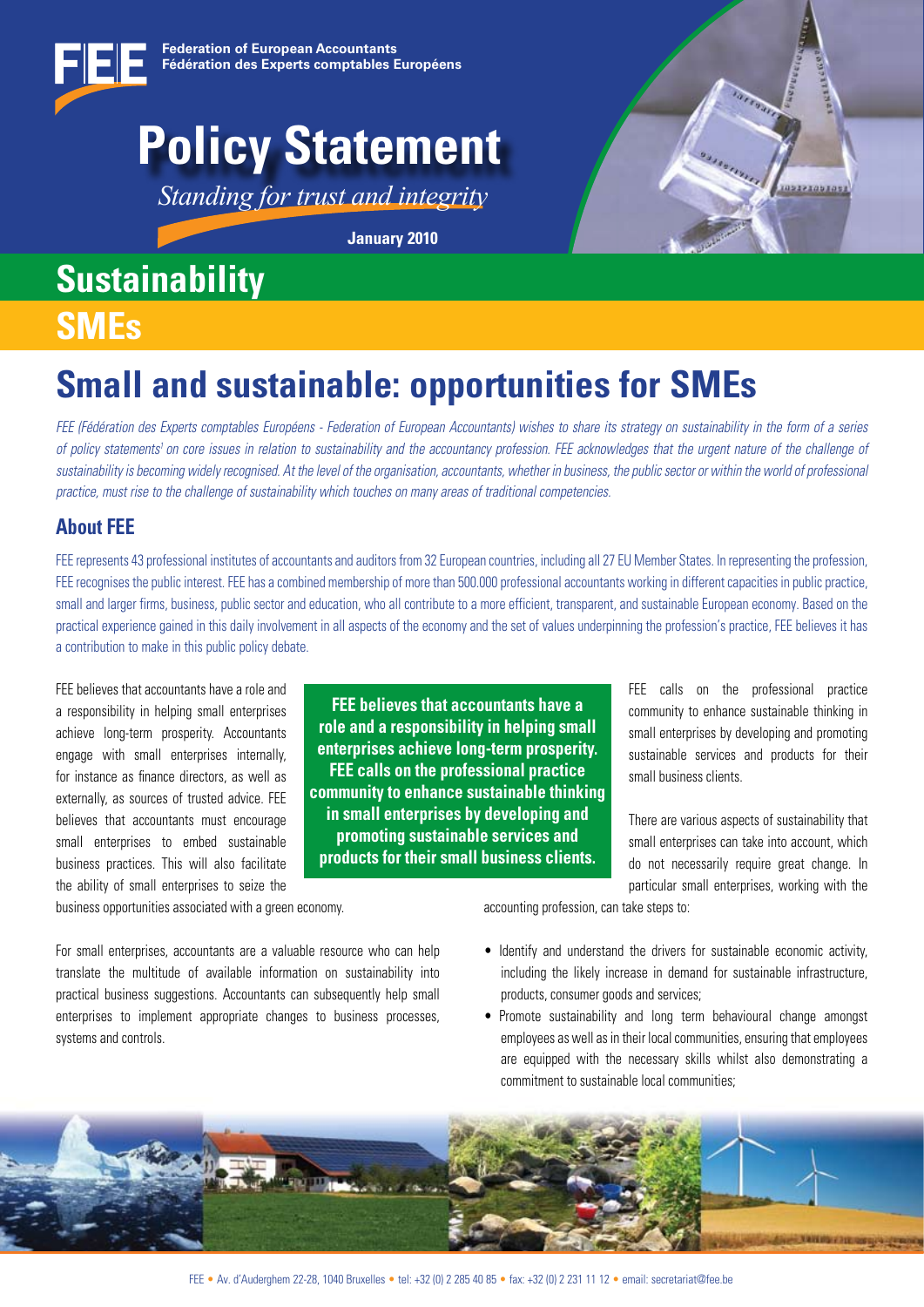

## **Policy Statement**

*Standing for trust and integrity*

**January 2010**

### **Sustainability SMEs**



## **Small and sustainable: opportunities for SMEs**

*FEE (Fédération des Experts comptables Européens - Federation of European Accountants) wishes to share its strategy on sustainability in the form of a series*  of policy statements<sup>1</sup> on core issues in relation to sustainability and the accountancy profession. FEE acknowledges that the urgent nature of the challenge of *sustainability is becoming widely recognised. At the level of the organisation, accountants, whether in business, the public sector or within the world of professional practice, must rise to the challenge of sustainability which touches on many areas of traditional competencies.*

### **About FEE**

FEE represents 43 professional institutes of accountants and auditors from 32 European countries, including all 27 EU Member States. In representing the profession, FEE recognises the public interest. FEE has a combined membership of more than 500.000 professional accountants working in different capacities in public practice, small and larger firms, business, public sector and education, who all contribute to a more efficient, transparent, and sustainable European economy. Based on the practical experience gained in this daily involvement in all aspects of the economy and the set of values underpinning the profession's practice, FEE believes it has a contribution to make in this public policy debate.

FEE believes that accountants have a role and a responsibility in helping small enterprises achieve long-term prosperity. Accountants engage with small enterprises internally, for instance as finance directors, as well as externally, as sources of trusted advice. FEE believes that accountants must encourage small enterprises to embed sustainable business practices. This will also facilitate the ability of small enterprises to seize the

**FEE believes that accountants have a role and a responsibility in helping small enterprises achieve long-term prosperity. FEE calls on the professional practice community to enhance sustainable thinking in small enterprises by developing and promoting sustainable services and products for their small business clients.**

FEE calls on the professional practice community to enhance sustainable thinking in small enterprises by developing and promoting sustainable services and products for their small business clients.

There are various aspects of sustainability that small enterprises can take into account, which do not necessarily require great change. In particular small enterprises, working with the

business opportunities associated with a green economy.

accounting profession, can take steps to:

For small enterprises, accountants are a valuable resource who can help translate the multitude of available information on sustainability into practical business suggestions. Accountants can subsequently help small enterprises to implement appropriate changes to business processes, systems and controls.

- Identify and understand the drivers for sustainable economic activity, including the likely increase in demand for sustainable infrastructure, products, consumer goods and services;
- Promote sustainability and long term behavioural change amongst employees as well as in their local communities, ensuring that employees are equipped with the necessary skills whilst also demonstrating a commitment to sustainable local communities;